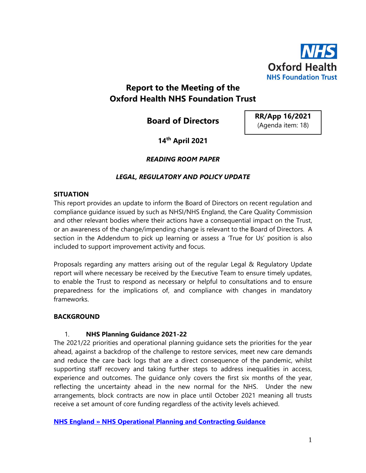

# **Report to the Meeting of the Oxford Health NHS Foundation Trust**

**Board of Directors**

**RR/App 16/2021** (Agenda item: 18)

# **14th April 2021**

# *READING ROOM PAPER*

# *LEGAL, REGULATORY AND POLICY UPDATE*

#### **SITUATION**

This report provides an update to inform the Board of Directors on recent regulation and compliance guidance issued by such as NHSI/NHS England, the Care Quality Commission and other relevant bodies where their actions have a consequential impact on the Trust, or an awareness of the change/impending change is relevant to the Board of Directors. A section in the Addendum to pick up learning or assess a 'True for Us' position is also included to support improvement activity and focus.

Proposals regarding any matters arising out of the regular Legal & Regulatory Update report will where necessary be received by the Executive Team to ensure timely updates, to enable the Trust to respond as necessary or helpful to consultations and to ensure preparedness for the implications of, and compliance with changes in mandatory frameworks.

### **BACKGROUND**

### 1. **NHS Planning Guidance 2021-22**

The 2021/22 priorities and operational planning guidance sets the priorities for the year ahead, against a backdrop of the challenge to restore services, meet new care demands and reduce the care back logs that are a direct consequence of the pandemic, whilst supporting staff recovery and taking further steps to address inequalities in access, experience and outcomes. The guidance only covers the first six months of the year, reflecting the uncertainty ahead in the new normal for the NHS. Under the new arrangements, block contracts are now in place until October 2021 meaning all trusts receive a set amount of core funding regardless of the activity levels achieved.

**[NHS England » NHS Operational Planning and Contracting Guidance](https://www.england.nhs.uk/operational-planning-and-contracting/)**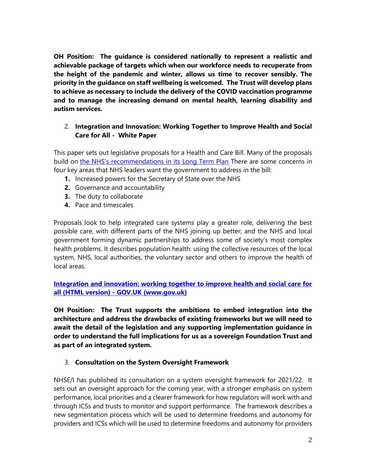**OH Position: The guidance is considered nationally to represent a realistic and achievable package of targets which when our workforce needs to recuperate from the height of the pandemic and winter, allows us time to recover sensibly. The priority in the guidance on staff wellbeing is welcomed. The Trust will develop plans to achieve as necessary to include the delivery of the COVID vaccination programme and to manage the increasing demand on mental health, learning disability and autism services.**

# 2. **Integration and Innovation: Working Together to Improve Health and Social Care for All - White Paper**

This paper sets out legislative proposals for a Health and Care Bill. Many of the proposals build on [the NHS's recommendations in its Long Term Plan](https://www.longtermplan.nhs.uk/online-version/chapter-7-next-steps/possible-legislative-change/) There are some concerns in four key areas that NHS leaders want the government to address in the bill:

- **1.** Increased powers for the Secretary of State over the NHS
- **2.** Governance and accountability
- **3.** The duty to collaborate
- **4.** Pace and timescales

Proposals look to help integrated care systems play a greater role, delivering the best possible care, with different parts of the NHS joining up better; and the NHS and local government forming dynamic partnerships to address some of society's most complex health problems. It describes population health: using the collective resources of the local system, NHS, local authorities, the voluntary sector and others to improve the health of local areas.

**Integration and innovation: working together to improve health and social care for all (HTML version) - GOV.UK (www.gov.uk)**

**OH Position: The Trust supports the ambitions to embed integration into the architecture and address the drawbacks of existing frameworks but we will need to await the detail of the legislation and any supporting implementation guidance in order to understand the full implications for us as a sovereign Foundation Trust and as part of an integrated system.**

### 3. **Consultation on the System Oversight Framework**

NHSE/I has published its consultation on a system oversight framework for 2021/22. It sets out an oversight approach for the coming year, with a stronger emphasis on system performance, local priorities and a clearer framework for how regulators will work with and through ICSs and trusts to monitor and support performance. The framework describes a new segmentation process which will be used to determine freedoms and autonomy for providers and ICSs which will be used to determine freedoms and autonomy for providers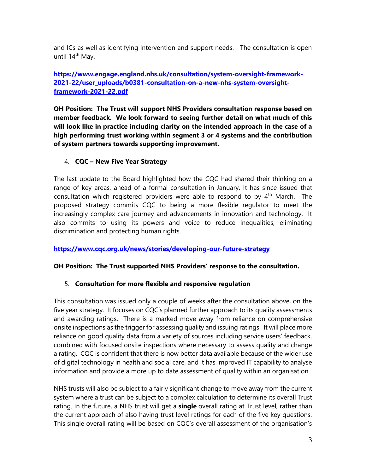and ICs as well as identifying intervention and support needs. The consultation is open until 14<sup>th</sup> May.

# **[https://www.engage.england.nhs.uk/consultation/system-oversight-framework-](https://www.engage.england.nhs.uk/consultation/system-oversight-framework-2021-22/user_uploads/b0381-consultation-on-a-new-nhs-system-oversight-framework-2021-22.pdf)[2021-22/user\\_uploads/b0381-consultation-on-a-new-nhs-system-oversight](https://www.engage.england.nhs.uk/consultation/system-oversight-framework-2021-22/user_uploads/b0381-consultation-on-a-new-nhs-system-oversight-framework-2021-22.pdf)[framework-2021-22.pdf](https://www.engage.england.nhs.uk/consultation/system-oversight-framework-2021-22/user_uploads/b0381-consultation-on-a-new-nhs-system-oversight-framework-2021-22.pdf)**

**OH Position: The Trust will support NHS Providers consultation response based on member feedback. We look forward to seeing further detail on what much of this will look like in practice including clarity on the intended approach in the case of a high performing trust working within segment 3 or 4 systems and the contribution of system partners towards supporting improvement.**

# 4. **CQC – New Five Year Strategy**

The last update to the Board highlighted how the CQC had shared their thinking on a range of key areas, ahead of a formal consultation in January. It has since issued that consultation which registered providers were able to respond to by  $4<sup>th</sup>$  March. The proposed strategy commits CQC to being a more flexible regulator to meet the increasingly complex care journey and advancements in innovation and technology. It also commits to using its powers and voice to reduce inequalities, eliminating discrimination and protecting human rights.

### **<https://www.cqc.org.uk/news/stories/developing-our-future-strategy>**

### **OH Position: The Trust supported NHS Providers' response to the consultation.**

### 5. **Consultation for more flexible and responsive regulation**

This consultation was issued only a couple of weeks after the consultation above, on the five year strategy. It focuses on CQC's planned further approach to its quality assessments and awarding ratings. There is a marked move away from reliance on comprehensive onsite inspections as the trigger for assessing quality and issuing ratings. It will place more reliance on good quality data from a variety of sources including service users' feedback, combined with focused onsite inspections where necessary to assess quality and change a rating. CQC is confident that there is now better data available because of the wider use of digital technology in health and social care, and it has improved IT capability to analyse information and provide a more up to date assessment of quality within an organisation.

NHS trusts will also be subject to a fairly significant change to move away from the current system where a trust can be subject to a complex calculation to determine its overall Trust rating. In the future, a NHS trust will get a **single** overall rating at Trust level, rather than the current approach of also having trust level ratings for each of the five key questions. This single overall rating will be based on CQC's overall assessment of the organisation's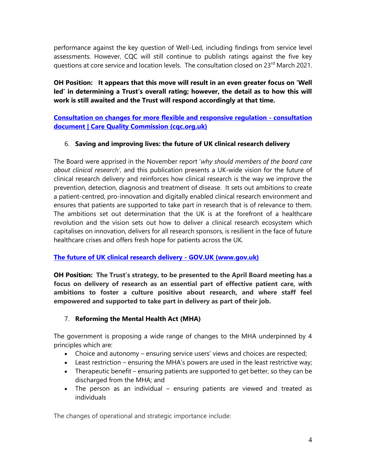performance against the key question of Well-Led, including findings from service level assessments. However, CQC will still continue to publish ratings against the five key questions at core service and location levels. The consultation closed on 23<sup>rd</sup> March 2021.

**OH Position: It appears that this move will result in an even greater focus on 'Well led' in determining a Trust's overall rating; however, the detail as to how this will work is still awaited and the Trust will respond accordingly at that time.**

**[Consultation on changes for more flexible and responsive regulation -](https://www.cqc.org.uk/get-involved/consultations/consultation-changes-more-flexible-responsive-regulation-consultation) consultation [document | Care Quality Commission \(cqc.org.uk\)](https://www.cqc.org.uk/get-involved/consultations/consultation-changes-more-flexible-responsive-regulation-consultation)**

# 6. **Saving and improving lives: the future of UK clinical research delivery**

The Board were apprised in the November report '*why should members of the board care about clinical research'*, and this publication presents a UK-wide vision for the future of clinical research delivery and reinforces how clinical research is the way we improve the prevention, detection, diagnosis and treatment of disease. It sets out ambitions to create a patient-centred, pro-innovation and digitally enabled clinical research environment and ensures that patients are supported to take part in research that is of relevance to them. The ambitions set out determination that the UK is at the forefront of a healthcare revolution and the vision sets out how to deliver a clinical research ecosystem which capitalises on innovation, delivers for all research sponsors, is resilient in the face of future healthcare crises and offers fresh hope for patients across the UK.

### **[The future of UK clinical research delivery -](https://www.gov.uk/government/publications/the-future-of-uk-clinical-research-delivery) GOV.UK (www.gov.uk)**

**OH Position: The Trust's strategy, to be presented to the April Board meeting has a focus on delivery of research as an essential part of effective patient care, with ambitions to foster a culture positive about research, and where staff feel empowered and supported to take part in delivery as part of their job.**

# 7. **Reforming the Mental Health Act (MHA)**

The government is proposing a wide range of changes to the MHA underpinned by 4 principles which are:

- Choice and autonomy ensuring service users' views and choices are respected;
- Least restriction ensuring the MHA's powers are used in the least restrictive way;
- Therapeutic benefit ensuring patients are supported to get better, so they can be discharged from the MHA; and
- The person as an individual ensuring patients are viewed and treated as individuals

The changes of operational and strategic importance include: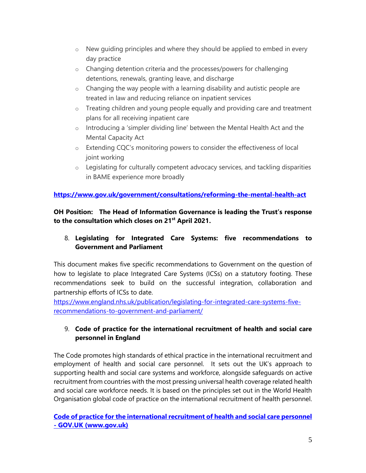- o New guiding principles and where they should be applied to embed in every day practice
- o Changing detention criteria and the processes/powers for challenging detentions, renewals, granting leave, and discharge
- $\circ$  Changing the way people with a learning disability and autistic people are treated in law and reducing reliance on inpatient services
- o Treating children and young people equally and providing care and treatment plans for all receiving inpatient care
- o Introducing a 'simpler dividing line' between the Mental Health Act and the Mental Capacity Act
- o Extending CQC's monitoring powers to consider the effectiveness of local joint working
- $\circ$  Legislating for culturally competent advocacy services, and tackling disparities in BAME experience more broadly

# **<https://www.gov.uk/government/consultations/reforming-the-mental-health-act>**

**OH Position: The Head of Information Governance is leading the Trust's response to the consultation which closes on 21st April 2021.** 

# 8. **Legislating for Integrated Care Systems: five recommendations to Government and Parliament**

This document makes five specific recommendations to Government on the question of how to legislate to place Integrated Care Systems (ICSs) on a statutory footing. These recommendations seek to build on the successful integration, collaboration and partnership efforts of ICSs to date.

[https://www.england.nhs.uk/publication/legislating-for-integrated-care-systems-five](https://www.england.nhs.uk/publication/legislating-for-integrated-care-systems-five-recommendations-to-government-and-parliament/)[recommendations-to-government-and-parliament/](https://www.england.nhs.uk/publication/legislating-for-integrated-care-systems-five-recommendations-to-government-and-parliament/)

# 9. **Code of practice for the international recruitment of health and social care personnel in England**

The Code promotes high standards of ethical practice in the international recruitment and employment of health and social care personnel. It sets out the UK's approach to supporting health and social care systems and workforce, alongside safeguards on active recruitment from countries with the most pressing universal health coverage related health and social care workforce needs. It is based on the principles set out in the World Health Organisation global code of practice on the international recruitment of health personnel.

**[Code of practice for the international recruitment of health and social care personnel](https://www.gov.uk/government/publications/code-of-practice-for-the-international-recruitment-of-health-and-social-care-personnel) - [GOV.UK \(www.gov.uk\)](https://www.gov.uk/government/publications/code-of-practice-for-the-international-recruitment-of-health-and-social-care-personnel)**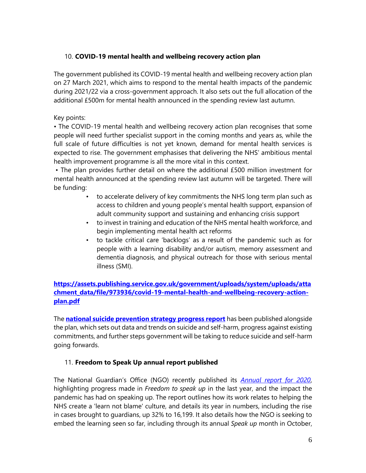# 10. **COVID-19 mental health and wellbeing recovery action plan**

The government published its COVID-19 mental health and wellbeing recovery action plan on 27 March 2021, which aims to respond to the mental health impacts of the pandemic during 2021/22 via a cross-government approach. It also sets out the full allocation of the additional £500m for mental health announced in the spending review last autumn.

# Key points:

• The COVID-19 mental health and wellbeing recovery action plan recognises that some people will need further specialist support in the coming months and years as, while the full scale of future difficulties is not yet known, demand for mental health services is expected to rise. The government emphasises that delivering the NHS' ambitious mental health improvement programme is all the more vital in this context.

• The plan provides further detail on where the additional £500 million investment for mental health announced at the spending review last autumn will be targeted. There will be funding:

- to accelerate delivery of key commitments the NHS long term plan such as access to children and young people's mental health support, expansion of adult community support and sustaining and enhancing crisis support
- to invest in training and education of the NHS mental health workforce, and begin implementing mental health act reforms
- to tackle critical care 'backlogs' as a result of the pandemic such as for people with a learning disability and/or autism, memory assessment and dementia diagnosis, and physical outreach for those with serious mental illness (SMI).

# **[https://assets.publishing.service.gov.uk/government/uploads/system/uploads/atta](https://assets.publishing.service.gov.uk/government/uploads/system/uploads/attachment_data/file/973936/covid-19-mental-health-and-wellbeing-recovery-action-plan.pdf) [chment\\_data/file/973936/covid-19-mental-health-and-wellbeing-recovery-action](https://assets.publishing.service.gov.uk/government/uploads/system/uploads/attachment_data/file/973936/covid-19-mental-health-and-wellbeing-recovery-action-plan.pdf)[plan.pdf](https://assets.publishing.service.gov.uk/government/uploads/system/uploads/attachment_data/file/973936/covid-19-mental-health-and-wellbeing-recovery-action-plan.pdf)**

The **[national suicide prevention strategy progress report](https://protect-eu.mimecast.com/s/m_z-CLZ4khkzOkktYVq4L?domain=news.nhsproviders.org)** has been published alongside the plan, which sets out data and trends on suicide and self-harm, progress against existing commitments, and further steps government will be taking to reduce suicide and self-harm going forwards.

### 11. **Freedom to Speak Up annual report published**

The National Guardian's Office (NGO) recently published its *[Annual report for 2020](https://protect-eu.mimecast.com/s/dz00Cz6ZJT8pKY4h1IIAu?domain=news.nhsproviders.org)*, highlighting progress made in *Freedom to speak up* in the last year, and the impact the pandemic has had on speaking up. The report outlines how its work relates to helping the NHS create a 'learn not blame' culture, and details its year in numbers, including the rise in cases brought to guardians, up 32% to 16,199. It also details how the NGO is seeking to embed the learning seen so far, including through its annual *Speak up* month in October,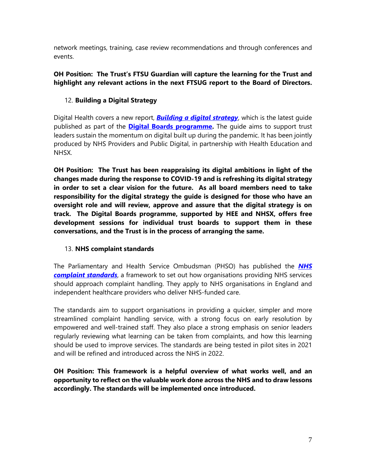network meetings, training, case review recommendations and through conferences and events.

# **OH Position: The Trust's FTSU Guardian will capture the learning for the Trust and highlight any relevant actions in the next FTSUG report to the Board of Directors.**

# 12. **Building a Digital Strategy**

Digital Health covers a new report, *[Building a digital strategy](https://protect-eu.mimecast.com/s/ncdNC994wsRg5BmU76DnQ?domain=news.nhsproviders.org)*, which is the latest guide published as part of the **[Digital Boards programme.](https://protect-eu.mimecast.com/s/gyROCywYGs6zlMNUpjBqu?domain=news.nhsproviders.org)** The guide aims to support trust leaders sustain the momentum on digital built up during the pandemic. It has been jointly produced by NHS Providers and Public Digital, in partnership with Health Education and NHSX.

**OH Position: The Trust has been reappraising its digital ambitions in light of the changes made during the response to COVID-19 and is refreshing its digital strategy in order to set a clear vision for the future. As all board members need to take responsibility for the digital strategy the guide is designed for those who have an oversight role and will review, approve and assure that the digital strategy is on track. The Digital Boards programme, supported by HEE and NHSX, offers free development sessions for individual trust boards to support them in these conversations, and the Trust is in the process of arranging the same.**

# 13. **NHS complaint standards**

The Parliamentary and Health Service Ombudsman (PHSO) has published the *[NHS](https://protect-eu.mimecast.com/s/dt-MCx6XETm4Z5xu7W9EU?domain=news.nhsproviders.org)  [complaint standards](https://protect-eu.mimecast.com/s/dt-MCx6XETm4Z5xu7W9EU?domain=news.nhsproviders.org)*, a framework to set out how organisations providing NHS services should approach complaint handling. They apply to NHS organisations in England and independent healthcare providers who deliver NHS-funded care.

The standards aim to support organisations in providing a quicker, simpler and more streamlined complaint handling service, with a strong focus on early resolution by empowered and well-trained staff. They also place a strong emphasis on senior leaders regularly reviewing what learning can be taken from complaints, and how this learning should be used to improve services. The standards are being tested in pilot sites in 2021 and will be refined and introduced across the NHS in 2022.

**OH Position: This framework is a helpful overview of what works well, and an opportunity to reflect on the valuable work done across the NHS and to draw lessons accordingly. The standards will be implemented once introduced.**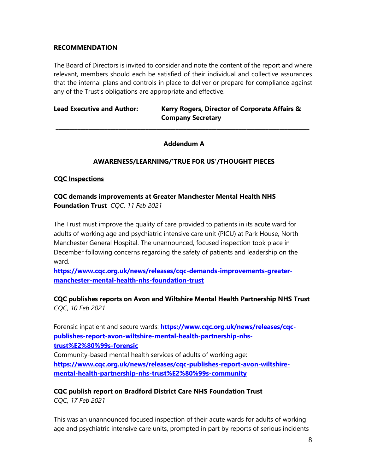#### **RECOMMENDATION**

The Board of Directors is invited to consider and note the content of the report and where relevant, members should each be satisfied of their individual and collective assurances that the internal plans and controls in place to deliver or prepare for compliance against any of the Trust's obligations are appropriate and effective.

Lead Executive and Author: Kerry Rogers, Director of Corporate Affairs & **Company Secretary**

### **Addendum A**

**\_\_\_\_\_\_\_\_\_\_\_\_\_\_\_\_\_\_\_\_\_\_\_\_\_\_\_\_\_\_\_\_\_\_\_\_\_\_\_\_\_\_\_\_\_\_\_\_\_\_\_\_\_\_\_\_\_\_\_\_\_\_\_\_\_\_\_\_\_\_\_\_\_\_\_\_\_\_\_\_\_\_\_\_\_\_\_\_\_\_\_\_\_**

### **AWARENESS/LEARNING/'TRUE FOR US'/THOUGHT PIECES**

### **CQC Inspections**

**CQC demands improvements at Greater Manchester Mental Health NHS Foundation Trust** *CQC, 11 Feb 2021*

The Trust must improve the quality of care provided to patients in its acute ward for adults of working age and psychiatric intensive care unit (PICU) at Park House, North Manchester General Hospital. The unannounced, focused inspection took place in December following concerns regarding the safety of patients and leadership on the ward.

**[https://www.cqc.org.uk/news/releases/cqc-demands-improvements-greater](https://www.cqc.org.uk/news/releases/cqc-demands-improvements-greater-manchester-mental-health-nhs-foundation-trust)[manchester-mental-health-nhs-foundation-trust](https://www.cqc.org.uk/news/releases/cqc-demands-improvements-greater-manchester-mental-health-nhs-foundation-trust)**

# **CQC publishes reports on Avon and Wiltshire Mental Health Partnership NHS Trust** *CQC, 10 Feb 2021*

Forensic inpatient and secure wards: **[https://www.cqc.org.uk/news/releases/cqc](https://www.cqc.org.uk/news/releases/cqc-publishes-report-avon-wiltshire-mental-health-partnership-nhs-trust%E2%80%99s-forensic)[publishes-report-avon-wiltshire-mental-health-partnership-nhs](https://www.cqc.org.uk/news/releases/cqc-publishes-report-avon-wiltshire-mental-health-partnership-nhs-trust%E2%80%99s-forensic)[trust%E2%80%99s-forensic](https://www.cqc.org.uk/news/releases/cqc-publishes-report-avon-wiltshire-mental-health-partnership-nhs-trust%E2%80%99s-forensic)** Community-based mental health services of adults of working age: **[https://www.cqc.org.uk/news/releases/cqc-publishes-report-avon-wiltshire](https://www.cqc.org.uk/news/releases/cqc-publishes-report-avon-wiltshire-mental-health-partnership-nhs-trust%E2%80%99s-community)[mental-health-partnership-nhs-trust%E2%80%99s-community](https://www.cqc.org.uk/news/releases/cqc-publishes-report-avon-wiltshire-mental-health-partnership-nhs-trust%E2%80%99s-community)**

**CQC publish report on Bradford District Care NHS Foundation Trust** *CQC, 17 Feb 2021*

This was an unannounced focused inspection of their acute wards for adults of working age and psychiatric intensive care units, prompted in part by reports of serious incidents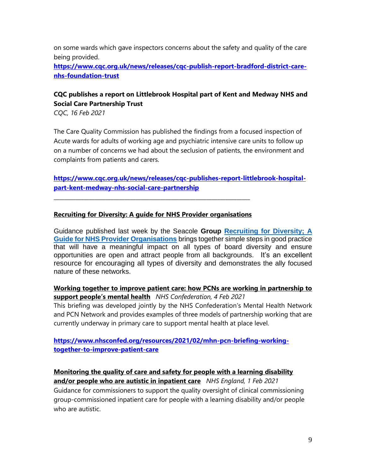on some wards which gave inspectors concerns about the safety and quality of the care being provided.

**[https://www.cqc.org.uk/news/releases/cqc-publish-report-bradford-district-care](https://www.cqc.org.uk/news/releases/cqc-publish-report-bradford-district-care-nhs-foundation-trust)[nhs-foundation-trust](https://www.cqc.org.uk/news/releases/cqc-publish-report-bradford-district-care-nhs-foundation-trust)**

# **CQC publishes a report on Littlebrook Hospital part of Kent and Medway NHS and Social Care Partnership Trust**

*CQC, 16 Feb 2021*

The Care Quality Commission has published the findings from a focused inspection of Acute wards for adults of working age and psychiatric intensive care units to follow up on a number of concerns we had about the seclusion of patients, the environment and complaints from patients and carers.

**[https://www.cqc.org.uk/news/releases/cqc-publishes-report-littlebrook-hospital](https://www.cqc.org.uk/news/releases/cqc-publishes-report-littlebrook-hospital-part-kent-medway-nhs-social-care-partnership)[part-kent-medway-nhs-social-care-partnership](https://www.cqc.org.uk/news/releases/cqc-publishes-report-littlebrook-hospital-part-kent-medway-nhs-social-care-partnership)**

#### **Recruiting for Diversity: A guide for NHS Provider organisations**

**\_\_\_\_\_\_\_\_\_\_\_\_\_\_\_\_\_\_\_\_\_\_\_\_\_\_\_\_\_\_\_\_\_\_\_\_\_\_\_\_\_\_\_\_\_\_\_\_\_\_\_\_\_\_\_\_\_\_\_\_\_\_\_\_\_\_\_\_\_\_\_\_**

Guidance published last week by the Seacole **Group [Recruiting for Diversity; A](https://protect-eu.mimecast.com/s/EULkCvQVBTE3zNYFQv02p?domain=bit.ly)  [Guide for NHS Provider Organisations](https://protect-eu.mimecast.com/s/EULkCvQVBTE3zNYFQv02p?domain=bit.ly)** brings together simple steps in good practice that will have a meaningful impact on all types of board diversity and ensure opportunities are open and attract people from all backgrounds. It's an excellent resource for encouraging all types of diversity and demonstrates the ally focused nature of these networks.

### **Working together to improve patient care: how PCNs are working in partnership to support people's mental health** *NHS Confederation, 4 Feb 2021*

This briefing was developed jointly by the NHS Confederation's Mental Health Network and PCN Network and provides examples of three models of partnership working that are currently underway in primary care to support mental health at place level.

### **[https://www.nhsconfed.org/resources/2021/02/mhn-pcn-briefing-working](https://www.nhsconfed.org/resources/2021/02/mhn-pcn-briefing-working-together-to-improve-patient-care)[together-to-improve-patient-care](https://www.nhsconfed.org/resources/2021/02/mhn-pcn-briefing-working-together-to-improve-patient-care)**

**Monitoring the quality of care and safety for people with a learning disability** 

**and/or people who are autistic in inpatient care** *NHS England, 1 Feb 2021* Guidance for commissioners to support the quality oversight of clinical commissioning group-commissioned inpatient care for people with a learning disability and/or people who are autistic.